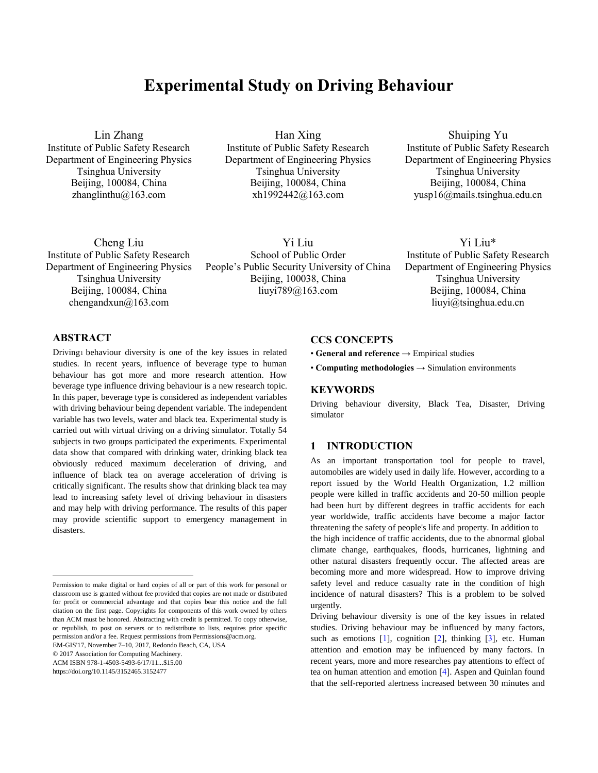# **Experimental Study on Driving Behaviour**

Lin Zhang

Institute of Public Safety Research Department of Engineering Physics Tsinghua University Beijing, 100084, China zhanglinthu@163.com

Han Xing Institute of Public Safety Research Department of Engineering Physics Tsinghua University Beijing, 100084, China xh1992442@163.com

Shuiping Yu Institute of Public Safety Research Department of Engineering Physics Tsinghua University Beijing, 100084, China yusp16@mails.tsinghua.edu.cn

Yi Liu\* Institute of Public Safety Research Department of Engineering Physics Tsinghua University Beijing, 100084, China liuyi@tsinghua.edu.cn

Cheng Liu Institute of Public Safety Research Department of Engineering Physics Tsinghua University Beijing, 100084, China chengandxun@163.com

Yi Liu School of Public Order People's Public Security University of China Beijing, 100038, China liuyi789@163.com

# **ABSTRACT**

Driving<sup>1</sup> behaviour diversity is one of the key issues in related studies. In recent years, influence of beverage type to human behaviour has got more and more research attention. How beverage type influence driving behaviour is a new research topic. In this paper, beverage type is considered as independent variables with driving behaviour being dependent variable. The independent variable has two levels, water and black tea. Experimental study is carried out with virtual driving on a driving simulator. Totally 54 subjects in two groups participated the experiments. Experimental data show that compared with drinking water, drinking black tea obviously reduced maximum deceleration of driving, and influence of black tea on average acceleration of driving is critically significant. The results show that drinking black tea may lead to increasing safety level of driving behaviour in disasters and may help with driving performance. The results of this paper may provide scientific support to emergency management in disasters.

EM-GIS'17, November 7–10, 2017, Redondo Beach, CA, USA

© 2017 Association for Computing Machinery.

ACM ISBN 978-1-4503-5493-6/17/11...\$15.00

https://doi.org/10.1145/3152465.3152477

 $\overline{a}$ 

# **CCS CONCEPTS**

• **General and reference** → Empirical studies

• **Computing methodologies** → Simulation environments

#### **KEYWORDS**

urgently.

Driving behaviour diversity, Black Tea, Disaster, Driving simulator

### **1 INTRODUCTION**

As an important transportation tool for people to travel, automobiles are widely used in daily life. However, according to a report issued by the World Health Organization, 1.2 million people were killed in traffic accidents and 20-50 million people had been hurt by different degrees in traffic accidents for each year worldwide, traffic accidents have become a major factor threatening the safety of people's life and property. In addition to the high incidence of traffic accidents, due to the abnormal global climate change, earthquakes, floods, hurricanes, lightning and other natural disasters frequently occur. The affected areas are becoming more and more widespread. How to improve driving safety level and reduce casualty rate in the condition of high incidence of natural disasters? This is a problem to be solved

Driving behaviour diversity is one of the key issues in related studies. Driving behaviour may be influenced by many factors, such as emotions  $[1]$ , cognition  $[2]$ , thinking  $[3]$ , etc. Human attention and emotion may be influenced by many factors. In recent years, more and more researches pay attentions to effect of tea on human attention and emotion [4]. Aspen and Quinlan found that the self-reported alertness increased between 30 minutes and

Permission to make digital or hard copies of all or part of this work for personal or classroom use is granted without fee provided that copies are not made or distributed for profit or commercial advantage and that copies bear this notice and the full citation on the first page. Copyrights for components of this work owned by others than ACM must be honored. Abstracting with credit is permitted. To copy otherwise, or republish, to post on servers or to redistribute to lists, requires prior specific permission and/or a fee. Request permissions from Permissions@acm.org.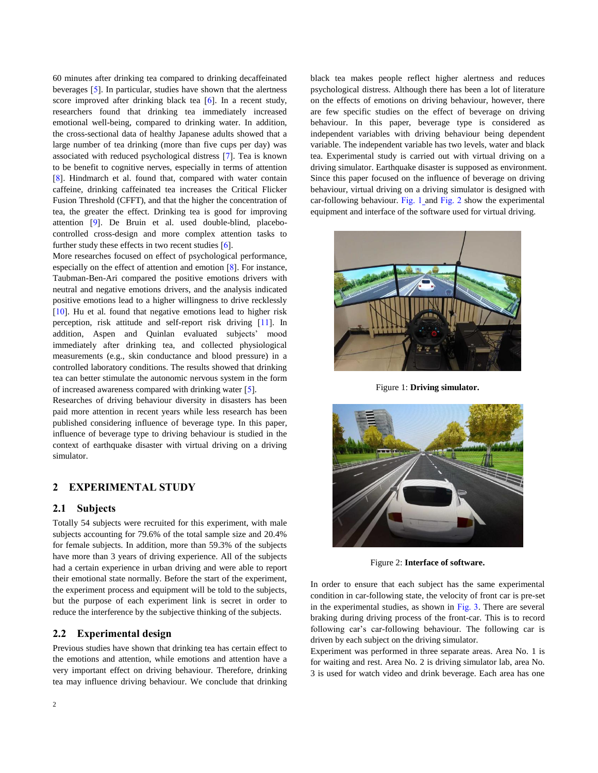60 minutes after drinking tea compared to drinking decaffeinated beverages [5]. In particular, studies have shown that the alertness score improved after drinking black tea [6]. In a recent study, researchers found that drinking tea immediately increased emotional well-being, compared to drinking water. In addition, the cross-sectional data of healthy Japanese adults showed that a large number of tea drinking (more than five cups per day) was associated with reduced psychological distress [7]. Tea is known to be benefit to cognitive nerves, especially in terms of attention [8]. Hindmarch et al. found that, compared with water contain caffeine, drinking caffeinated tea increases the Critical Flicker Fusion Threshold (CFFT), and that the higher the concentration of tea, the greater the effect. Drinking tea is good for improving attention [9]. De Bruin et al. used double-blind, placebocontrolled cross-design and more complex attention tasks to further study these effects in two recent studies  $[6]$ .

More researches focused on effect of psychological performance, especially on the effect of attention and emotion [8]. For instance, Taubman-Ben-Ari compared the positive emotions drivers with neutral and negative emotions drivers, and the analysis indicated positive emotions lead to a higher willingness to drive recklessly [10]. Hu et al. found that negative emotions lead to higher risk perception, risk attitude and self-report risk driving [11]. In addition, Aspen and Quinlan evaluated subjects' mood immediately after drinking tea, and collected physiological measurements (e.g., skin conductance and blood pressure) in a controlled laboratory conditions. The results showed that drinking tea can better stimulate the autonomic nervous system in the form of increased awareness compared with drinking water [5].

Researches of driving behaviour diversity in disasters has been paid more attention in recent years while less research has been published considering influence of beverage type. In this paper, influence of beverage type to driving behaviour is studied in the context of earthquake disaster with virtual driving on a driving simulator.

#### **2 EXPERIMENTAL STUDY**

#### **2.1 Subjects**

Totally 54 subjects were recruited for this experiment, with male subjects accounting for 79.6% of the total sample size and 20.4% for female subjects. In addition, more than 59.3% of the subjects have more than 3 years of driving experience. All of the subjects had a certain experience in urban driving and were able to report their emotional state normally. Before the start of the experiment, the experiment process and equipment will be told to the subjects, but the purpose of each experiment link is secret in order to reduce the interference by the subjective thinking of the subjects.

#### **2.2 Experimental design**

Previous studies have shown that drinking tea has certain effect to the emotions and attention, while emotions and attention have a very important effect on driving behaviour. Therefore, drinking tea may influence driving behaviour. We conclude that drinking

2

black tea makes people reflect higher alertness and reduces psychological distress. Although there has been a lot of literature on the effects of emotions on driving behaviour, however, there are few specific studies on the effect of beverage on driving behaviour. In this paper, beverage type is considered as independent variables with driving behaviour being dependent variable. The independent variable has two levels, water and black tea. Experimental study is carried out with virtual driving on a driving simulator. Earthquake disaster is supposed as environment. Since this paper focused on the influence of beverage on driving behaviour, virtual driving on a driving simulator is designed with car-following behaviour. Fig. 1 and Fig. 2 show the experimental equipment and interface of the software used for virtual driving.



Figure 1: **Driving simulator.**



Figure 2: **Interface of software.**

In order to ensure that each subject has the same experimental condition in car-following state, the velocity of front car is pre-set in the experimental studies, as shown in Fig. 3. There are several braking during driving process of the front-car. This is to record following car's car-following behaviour. The following car is driven by each subject on the driving simulator.

Experiment was performed in three separate areas. Area No. 1 is for waiting and rest. Area No. 2 is driving simulator lab, area No. 3 is used for watch video and drink beverage. Each area has one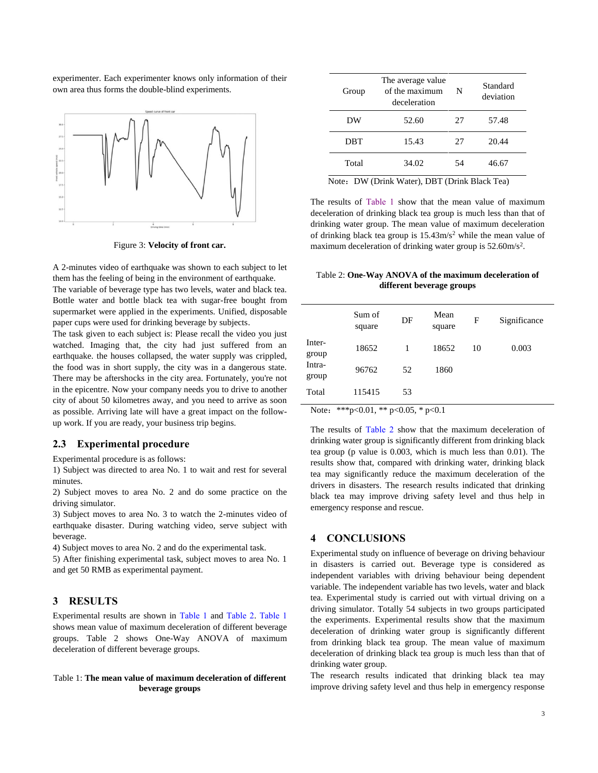experimenter. Each experimenter knows only information of their own area thus forms the double-blind experiments.



Figure 3: **Velocity of front car.**

A 2-minutes video of earthquake was shown to each subject to let them has the feeling of being in the environment of earthquake.

The variable of beverage type has two levels, water and black tea. Bottle water and bottle black tea with sugar-free bought from supermarket were applied in the experiments. Unified, disposable paper cups were used for drinking beverage by subjects.

The task given to each subject is: Please recall the video you just watched. Imaging that, the city had just suffered from an earthquake. the houses collapsed, the water supply was crippled, the food was in short supply, the city was in a dangerous state. There may be aftershocks in the city area. Fortunately, you're not in the epicentre. Now your company needs you to drive to another city of about 50 kilometres away, and you need to arrive as soon as possible. Arriving late will have a great impact on the followup work. If you are ready, your business trip begins.

#### **2.3 Experimental procedure**

Experimental procedure is as follows:

1) Subject was directed to area No. 1 to wait and rest for several minutes.

2) Subject moves to area No. 2 and do some practice on the driving simulator.

3) Subject moves to area No. 3 to watch the 2-minutes video of earthquake disaster. During watching video, serve subject with beverage.

4) Subject moves to area No. 2 and do the experimental task.

5) After finishing experimental task, subject moves to area No. 1 and get 50 RMB as experimental payment.

### **3 RESULTS**

Experimental results are shown in Table 1 and Table 2. Table 1 shows mean value of maximum deceleration of different beverage groups. Table 2 shows One-Way ANOVA of maximum deceleration of different beverage groups.

#### Table 1: **The mean value of maximum deceleration of different beverage groups**

| Group                                                                                                                                                                                 | The average value<br>of the maximum<br>deceleration | N  | Standard<br>deviation |  |  |  |
|---------------------------------------------------------------------------------------------------------------------------------------------------------------------------------------|-----------------------------------------------------|----|-----------------------|--|--|--|
| DW                                                                                                                                                                                    | 52.60                                               | 27 | 57.48                 |  |  |  |
| DBT                                                                                                                                                                                   | 15.43                                               | 27 | 20.44                 |  |  |  |
| Total                                                                                                                                                                                 | 34.02                                               | 54 | 46.67                 |  |  |  |
| $N^{11}$ $\wedge$<br>$\mathbf{1}$ $\mathbf{W}$ $\rightarrow$ $\mathbf{N}$ $\mathbf{N}$ $\mathbf{m}$ $\mathbf{N}$ $\rightarrow$ $\mathbf{N}$<br>$\mathbf{r}$<br><b>AT</b><br>$\lambda$ |                                                     |    |                       |  |  |  |

Note: DW (Drink Water), DBT (Drink Black Tea)

The results of Table 1 show that the mean value of maximum deceleration of drinking black tea group is much less than that of drinking water group. The mean value of maximum deceleration of drinking black tea group is  $15.43 \text{m/s}^2$  while the mean value of maximum deceleration of drinking water group is 52.60m/s<sup>2</sup>.

Table 2: **One-Way ANOVA of the maximum deceleration of different beverage groups**

|                 | Sum of<br>square | DF | Mean<br>square | F  | Significance |
|-----------------|------------------|----|----------------|----|--------------|
| Inter-<br>group | 18652            | 1  | 18652          | 10 | 0.003        |
| Intra-<br>group | 96762            | 52 | 1860           |    |              |
| Total           | 115415           | 53 |                |    |              |

Note: \*\*\*p<0.01, \*\* p<0.05, \* p<0.1

The results of Table 2 show that the maximum deceleration of drinking water group is significantly different from drinking black tea group (p value is 0.003, which is much less than 0.01). The results show that, compared with drinking water, drinking black tea may significantly reduce the maximum deceleration of the drivers in disasters. The research results indicated that drinking black tea may improve driving safety level and thus help in emergency response and rescue.

## **4 CONCLUSIONS**

Experimental study on influence of beverage on driving behaviour in disasters is carried out. Beverage type is considered as independent variables with driving behaviour being dependent variable. The independent variable has two levels, water and black tea. Experimental study is carried out with virtual driving on a driving simulator. Totally 54 subjects in two groups participated the experiments. Experimental results show that the maximum deceleration of drinking water group is significantly different from drinking black tea group. The mean value of maximum deceleration of drinking black tea group is much less than that of drinking water group.

The research results indicated that drinking black tea may improve driving safety level and thus help in emergency response